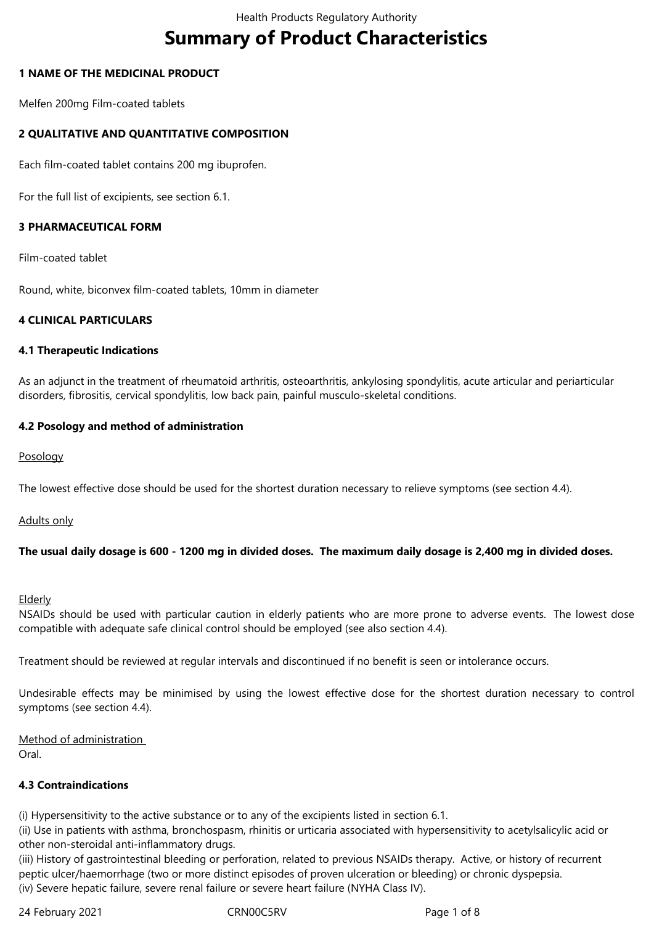# **Summary of Product Characteristics**

# **1 NAME OF THE MEDICINAL PRODUCT**

Melfen 200mg Film-coated tablets

# **2 QUALITATIVE AND QUANTITATIVE COMPOSITION**

Each film-coated tablet contains 200 mg ibuprofen.

For the full list of excipients, see section 6.1.

# **3 PHARMACEUTICAL FORM**

Film-coated tablet

Round, white, biconvex film-coated tablets, 10mm in diameter

## **4 CLINICAL PARTICULARS**

#### **4.1 Therapeutic Indications**

As an adjunct in the treatment of rheumatoid arthritis, osteoarthritis, ankylosing spondylitis, acute articular and periarticular disorders, fibrositis, cervical spondylitis, low back pain, painful musculo-skeletal conditions.

## **4.2 Posology and method of administration**

Posology

The lowest effective dose should be used for the shortest duration necessary to relieve symptoms (see section 4.4).

Adults only

## **The usual daily dosage is 600 - 1200 mg in divided doses. The maximum daily dosage is 2,400 mg in divided doses.**

#### **Elderly**

NSAIDs should be used with particular caution in elderly patients who are more prone to adverse events. The lowest dose compatible with adequate safe clinical control should be employed (see also section 4.4).

Treatment should be reviewed at regular intervals and discontinued if no benefit is seen or intolerance occurs.

Undesirable effects may be minimised by using the lowest effective dose for the shortest duration necessary to control symptoms (see section 4.4).

Method of administration Oral.

## **4.3 Contraindications**

(i) Hypersensitivity to the active substance or to any of the excipients listed in section 6.1.

(ii) Use in patients with asthma, bronchospasm, rhinitis or urticaria associated with hypersensitivity to acetylsalicylic acid or other non-steroidal anti-inflammatory drugs.

(iii) History of gastrointestinal bleeding or perforation, related to previous NSAIDs therapy. Active, or history of recurrent peptic ulcer/haemorrhage (two or more distinct episodes of proven ulceration or bleeding) or chronic dyspepsia. (iv) Severe hepatic failure, severe renal failure or severe heart failure (NYHA Class IV).

24 February 2021 CRN00C5RV Page 1 of 8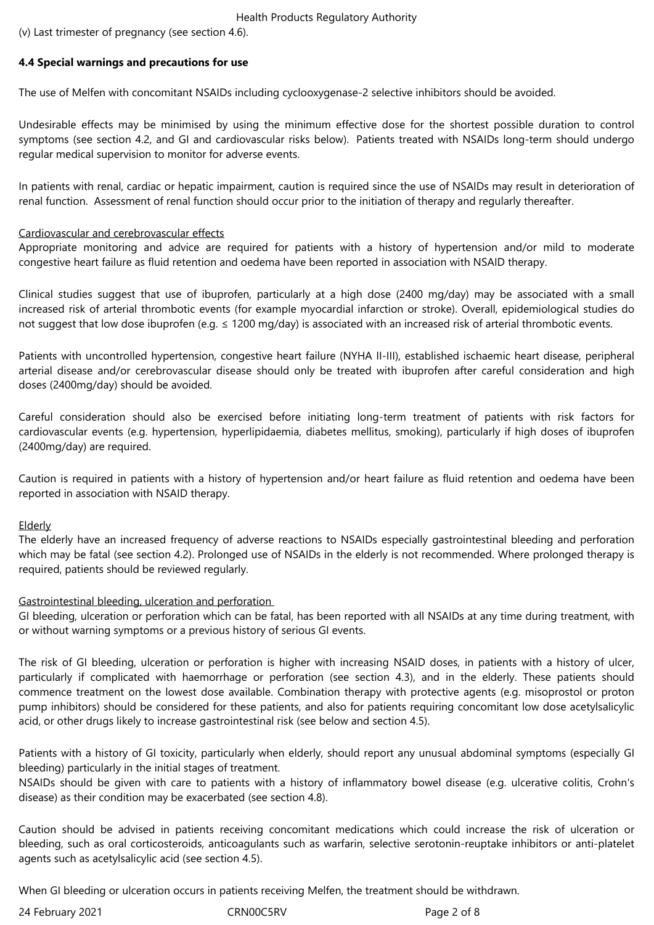Health Products Regulatory Authority

(v) Last trimester of pregnancy (see section 4.6).

# **4.4 Special warnings and precautions for use**

The use of Melfen with concomitant NSAIDs including cyclooxygenase-2 selective inhibitors should be avoided.

Undesirable effects may be minimised by using the minimum effective dose for the shortest possible duration to control symptoms (see section 4.2, and GI and cardiovascular risks below). Patients treated with NSAIDs long-term should undergo regular medical supervision to monitor for adverse events.

In patients with renal, cardiac or hepatic impairment, caution is required since the use of NSAIDs may result in deterioration of renal function. Assessment of renal function should occur prior to the initiation of therapy and regularly thereafter.

## Cardiovascular and cerebrovascular effects

Appropriate monitoring and advice are required for patients with a history of hypertension and/or mild to moderate congestive heart failure as fluid retention and oedema have been reported in association with NSAID therapy.

Clinical studies suggest that use of ibuprofen, particularly at a high dose (2400 mg/day) may be associated with a small increased risk of arterial thrombotic events (for example myocardial infarction or stroke). Overall, epidemiological studies do not suggest that low dose ibuprofen (e.g.  $\leq 1200 \text{ mg/day}$ ) is associated with an increased risk of arterial thrombotic events.

Patients with uncontrolled hypertension, congestive heart failure (NYHA II-III), established ischaemic heart disease, peripheral arterial disease and/or cerebrovascular disease should only be treated with ibuprofen after careful consideration and high doses (2400mg/day) should be avoided.

Careful consideration should also be exercised before initiating long-term treatment of patients with risk factors for cardiovascular events (e.g. hypertension, hyperlipidaemia, diabetes mellitus, smoking), particularly if high doses of ibuprofen (2400mg/day) are required.

Caution is required in patients with a history of hypertension and/or heart failure as fluid retention and oedema have been reported in association with NSAID therapy.

## Elderly

The elderly have an increased frequency of adverse reactions to NSAIDs especially gastrointestinal bleeding and perforation which may be fatal (see section 4.2). Prolonged use of NSAIDs in the elderly is not recommended. Where prolonged therapy is required, patients should be reviewed regularly.

## Gastrointestinal bleeding, ulceration and perforation

GI bleeding, ulceration or perforation which can be fatal, has been reported with all NSAIDs at any time during treatment, with or without warning symptoms or a previous history of serious GI events.

The risk of GI bleeding, ulceration or perforation is higher with increasing NSAID doses, in patients with a history of ulcer, particularly if complicated with haemorrhage or perforation (see section 4.3), and in the elderly. These patients should commence treatment on the lowest dose available. Combination therapy with protective agents (e.g. misoprostol or proton pump inhibitors) should be considered for these patients, and also for patients requiring concomitant low dose acetylsalicylic acid, or other drugs likely to increase gastrointestinal risk (see below and section 4.5).

Patients with a history of GI toxicity, particularly when elderly, should report any unusual abdominal symptoms (especially GI bleeding) particularly in the initial stages of treatment.

NSAIDs should be given with care to patients with a history of inflammatory bowel disease (e.g. ulcerative colitis, Crohn's disease) as their condition may be exacerbated (see section 4.8).

Caution should be advised in patients receiving concomitant medications which could increase the risk of ulceration or bleeding, such as oral corticosteroids, anticoagulants such as warfarin, selective serotonin-reuptake inhibitors or anti-platelet agents such as acetylsalicylic acid (see section 4.5).

When GI bleeding or ulceration occurs in patients receiving Melfen, the treatment should be withdrawn.

24 February 2021 CRN00C5RV Page 2 of 8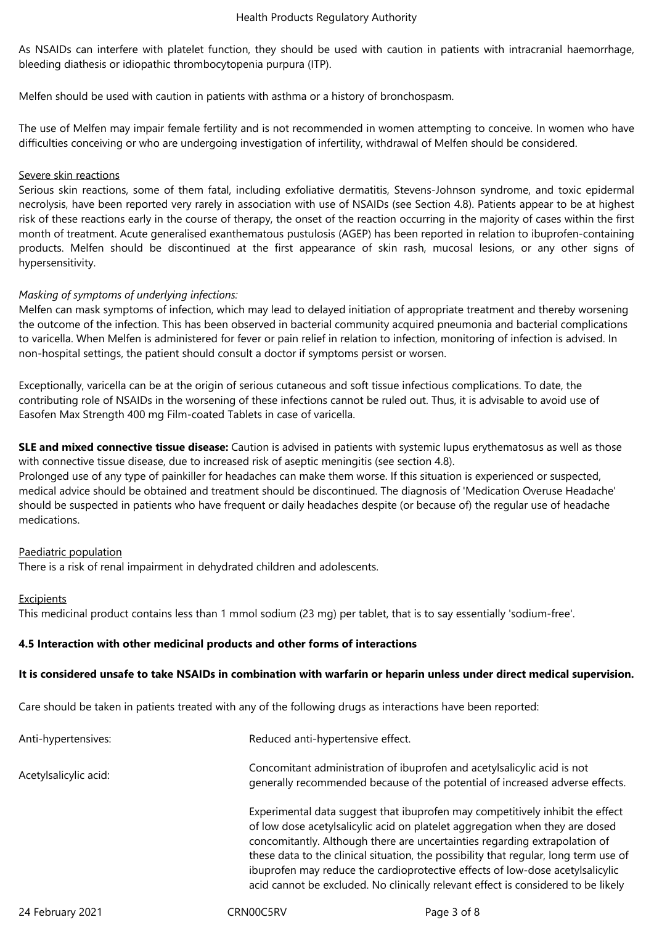As NSAIDs can interfere with platelet function, they should be used with caution in patients with intracranial haemorrhage, bleeding diathesis or idiopathic thrombocytopenia purpura (ITP).

Melfen should be used with caution in patients with asthma or a history of bronchospasm.

The use of Melfen may impair female fertility and is not recommended in women attempting to conceive. In women who have difficulties conceiving or who are undergoing investigation of infertility, withdrawal of Melfen should be considered.

## Severe skin reactions

Serious skin reactions, some of them fatal, including exfoliative dermatitis, Stevens-Johnson syndrome, and toxic epidermal necrolysis, have been reported very rarely in association with use of NSAIDs (see Section 4.8). Patients appear to be at highest risk of these reactions early in the course of therapy, the onset of the reaction occurring in the majority of cases within the first month of treatment. Acute generalised exanthematous pustulosis (AGEP) has been reported in relation to ibuprofen-containing products. Melfen should be discontinued at the first appearance of skin rash, mucosal lesions, or any other signs of hypersensitivity.

# *Masking of symptoms of underlying infections:*

Melfen can mask symptoms of infection, which may lead to delayed initiation of appropriate treatment and thereby worsening the outcome of the infection. This has been observed in bacterial community acquired pneumonia and bacterial complications to varicella. When Melfen is administered for fever or pain relief in relation to infection, monitoring of infection is advised. In non-hospital settings, the patient should consult a doctor if symptoms persist or worsen.

Exceptionally, varicella can be at the origin of serious cutaneous and soft tissue infectious complications. To date, the contributing role of NSAIDs in the worsening of these infections cannot be ruled out. Thus, it is advisable to avoid use of Easofen Max Strength 400 mg Film-coated Tablets in case of varicella.

**SLE and mixed connective tissue disease:** Caution is advised in patients with systemic lupus erythematosus as well as those with connective tissue disease, due to increased risk of aseptic meningitis (see section 4.8).

Prolonged use of any type of painkiller for headaches can make them worse. If this situation is experienced or suspected, medical advice should be obtained and treatment should be discontinued. The diagnosis of 'Medication Overuse Headache' should be suspected in patients who have frequent or daily headaches despite (or because of) the regular use of headache medications.

## Paediatric population

There is a risk of renal impairment in dehydrated children and adolescents.

## Excipients

This medicinal product contains less than 1 mmol sodium (23 mg) per tablet, that is to say essentially 'sodium-free'.

## **4.5 Interaction with other medicinal products and other forms of interactions**

## **It is considered unsafe to take NSAIDs in combination with warfarin or heparin unless under direct medical supervision.**

Care should be taken in patients treated with any of the following drugs as interactions have been reported:

| Anti-hypertensives:   | Reduced anti-hypertensive effect.                                                                                                                                                                                                                                                                                                                                                                                                                                                                         |
|-----------------------|-----------------------------------------------------------------------------------------------------------------------------------------------------------------------------------------------------------------------------------------------------------------------------------------------------------------------------------------------------------------------------------------------------------------------------------------------------------------------------------------------------------|
| Acetylsalicylic acid: | Concomitant administration of ibuprofen and acetylsalicylic acid is not<br>generally recommended because of the potential of increased adverse effects.                                                                                                                                                                                                                                                                                                                                                   |
|                       | Experimental data suggest that ibuprofen may competitively inhibit the effect<br>of low dose acetylsalicylic acid on platelet aggregation when they are dosed<br>concomitantly. Although there are uncertainties regarding extrapolation of<br>these data to the clinical situation, the possibility that regular, long term use of<br>ibuprofen may reduce the cardioprotective effects of low-dose acetylsalicylic<br>acid cannot be excluded. No clinically relevant effect is considered to be likely |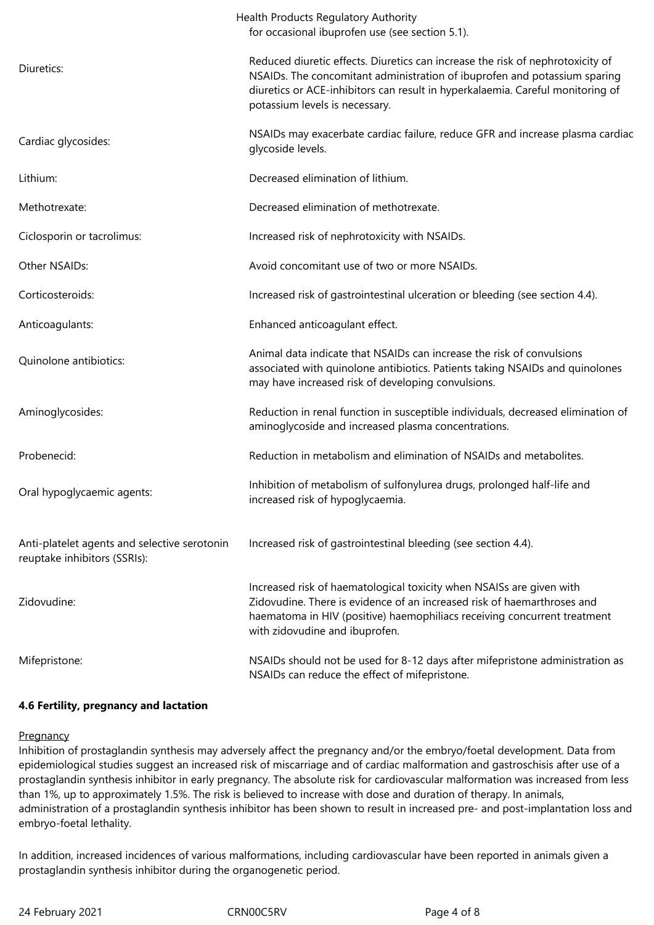|                                                                              | Health Products Regulatory Authority<br>for occasional ibuprofen use (see section 5.1).                                                                                                                                                                                         |
|------------------------------------------------------------------------------|---------------------------------------------------------------------------------------------------------------------------------------------------------------------------------------------------------------------------------------------------------------------------------|
| Diuretics:                                                                   | Reduced diuretic effects. Diuretics can increase the risk of nephrotoxicity of<br>NSAIDs. The concomitant administration of ibuprofen and potassium sparing<br>diuretics or ACE-inhibitors can result in hyperkalaemia. Careful monitoring of<br>potassium levels is necessary. |
| Cardiac glycosides:                                                          | NSAIDs may exacerbate cardiac failure, reduce GFR and increase plasma cardiac<br>glycoside levels.                                                                                                                                                                              |
| Lithium:                                                                     | Decreased elimination of lithium.                                                                                                                                                                                                                                               |
| Methotrexate:                                                                | Decreased elimination of methotrexate.                                                                                                                                                                                                                                          |
| Ciclosporin or tacrolimus:                                                   | Increased risk of nephrotoxicity with NSAIDs.                                                                                                                                                                                                                                   |
| Other NSAIDs:                                                                | Avoid concomitant use of two or more NSAIDs.                                                                                                                                                                                                                                    |
| Corticosteroids:                                                             | Increased risk of gastrointestinal ulceration or bleeding (see section 4.4).                                                                                                                                                                                                    |
| Anticoagulants:                                                              | Enhanced anticoagulant effect.                                                                                                                                                                                                                                                  |
| Quinolone antibiotics:                                                       | Animal data indicate that NSAIDs can increase the risk of convulsions<br>associated with quinolone antibiotics. Patients taking NSAIDs and quinolones<br>may have increased risk of developing convulsions.                                                                     |
| Aminoglycosides:                                                             | Reduction in renal function in susceptible individuals, decreased elimination of<br>aminoglycoside and increased plasma concentrations.                                                                                                                                         |
| Probenecid:                                                                  | Reduction in metabolism and elimination of NSAIDs and metabolites.                                                                                                                                                                                                              |
| Oral hypoglycaemic agents:                                                   | Inhibition of metabolism of sulfonylurea drugs, prolonged half-life and<br>increased risk of hypoglycaemia.                                                                                                                                                                     |
| Anti-platelet agents and selective serotonin<br>reuptake inhibitors (SSRIs): | Increased risk of gastrointestinal bleeding (see section 4.4).                                                                                                                                                                                                                  |
| Zidovudine:                                                                  | Increased risk of haematological toxicity when NSAISs are given with<br>Zidovudine. There is evidence of an increased risk of haemarthroses and<br>haematoma in HIV (positive) haemophiliacs receiving concurrent treatment<br>with zidovudine and ibuprofen.                   |
| Mifepristone:                                                                | NSAIDs should not be used for 8-12 days after mifepristone administration as<br>NSAIDs can reduce the effect of mifepristone.                                                                                                                                                   |

# **4.6 Fertility, pregnancy and lactation**

## **Pregnancy**

Inhibition of prostaglandin synthesis may adversely affect the pregnancy and/or the embryo/foetal development. Data from epidemiological studies suggest an increased risk of miscarriage and of cardiac malformation and gastroschisis after use of a prostaglandin synthesis inhibitor in early pregnancy. The absolute risk for cardiovascular malformation was increased from less than 1%, up to approximately 1.5%. The risk is believed to increase with dose and duration of therapy. In animals, administration of a prostaglandin synthesis inhibitor has been shown to result in increased pre- and post-implantation loss and embryo-foetal lethality.

In addition, increased incidences of various malformations, including cardiovascular have been reported in animals given a prostaglandin synthesis inhibitor during the organogenetic period.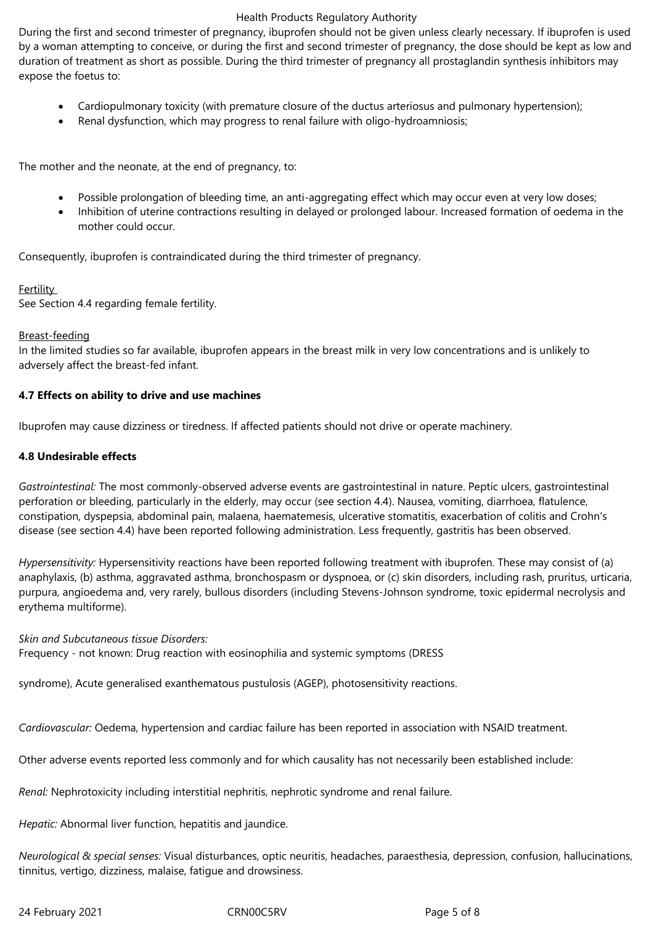## Health Products Regulatory Authority

During the first and second trimester of pregnancy, ibuprofen should not be given unless clearly necessary. If ibuprofen is used by a woman attempting to conceive, or during the first and second trimester of pregnancy, the dose should be kept as low and duration of treatment as short as possible. During the third trimester of pregnancy all prostaglandin synthesis inhibitors may expose the foetus to:

- Cardiopulmonary toxicity (with premature closure of the ductus arteriosus and pulmonary hypertension);
- Renal dysfunction, which may progress to renal failure with oligo-hydroamniosis;

The mother and the neonate, at the end of pregnancy, to:

- Possible prolongation of bleeding time, an anti-aggregating effect which may occur even at very low doses;
- Inhibition of uterine contractions resulting in delayed or prolonged labour. Increased formation of oedema in the mother could occur.

Consequently, ibuprofen is contraindicated during the third trimester of pregnancy.

# Fertility

See Section 4.4 regarding female fertility.

# Breast-feeding

In the limited studies so far available, ibuprofen appears in the breast milk in very low concentrations and is unlikely to adversely affect the breast-fed infant.

# **4.7 Effects on ability to drive and use machines**

Ibuprofen may cause dizziness or tiredness. If affected patients should not drive or operate machinery.

# **4.8 Undesirable effects**

*Gastrointestinal:* The most commonly-observed adverse events are gastrointestinal in nature. Peptic ulcers, gastrointestinal perforation or bleeding, particularly in the elderly, may occur (see section 4.4). Nausea, vomiting, diarrhoea, flatulence, constipation, dyspepsia, abdominal pain, malaena, haematemesis, ulcerative stomatitis, exacerbation of colitis and Crohn's disease (see section 4.4) have been reported following administration. Less frequently, gastritis has been observed.

*Hypersensitivity:* Hypersensitivity reactions have been reported following treatment with ibuprofen. These may consist of (a) anaphylaxis, (b) asthma, aggravated asthma, bronchospasm or dyspnoea, or (c) skin disorders, including rash, pruritus, urticaria, purpura, angioedema and, very rarely, bullous disorders (including Stevens-Johnson syndrome, toxic epidermal necrolysis and erythema multiforme).

*Skin and Subcutaneous tissue Disorders:* 

Frequency - not known: Drug reaction with eosinophilia and systemic symptoms (DRESS

syndrome), Acute generalised exanthematous pustulosis (AGEP), photosensitivity reactions.

*Cardiovascular:* Oedema, hypertension and cardiac failure has been reported in association with NSAID treatment.

Other adverse events reported less commonly and for which causality has not necessarily been established include:

*Renal:* Nephrotoxicity including interstitial nephritis, nephrotic syndrome and renal failure.

*Hepatic:* Abnormal liver function, hepatitis and jaundice.

*Neurological & special senses:* Visual disturbances, optic neuritis, headaches, paraesthesia, depression, confusion, hallucinations, tinnitus, vertigo, dizziness, malaise, fatigue and drowsiness.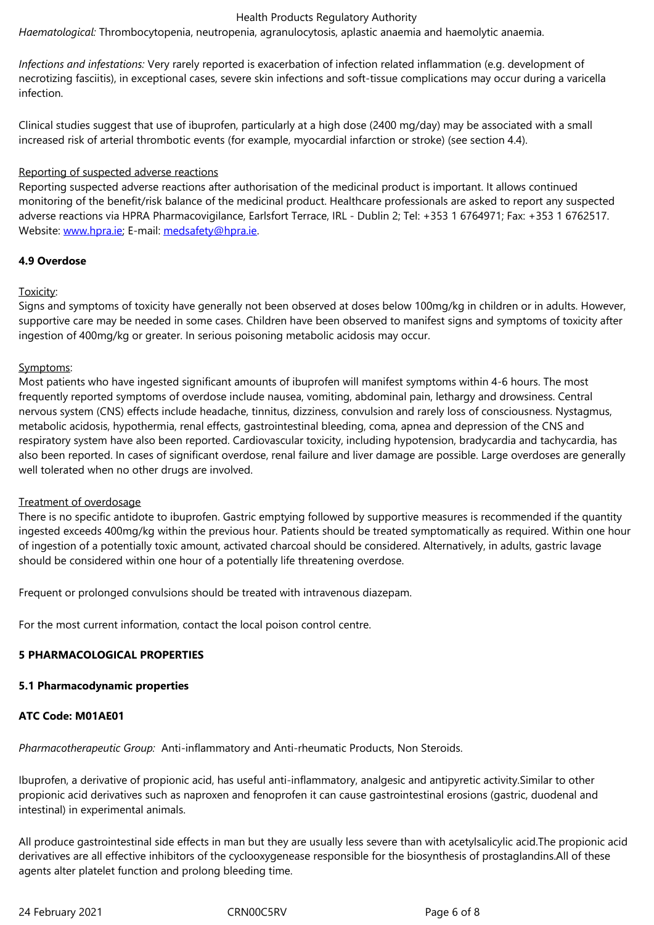*Infections and infestations:* Very rarely reported is exacerbation of infection related inflammation (e.g. development of necrotizing fasciitis), in exceptional cases, severe skin infections and soft-tissue complications may occur during a varicella infection.

Clinical studies suggest that use of ibuprofen, particularly at a high dose (2400 mg/day) may be associated with a small increased risk of arterial thrombotic events (for example, myocardial infarction or stroke) (see section 4.4).

## Reporting of suspected adverse reactions

Reporting suspected adverse reactions after authorisation of the medicinal product is important. It allows continued monitoring of the benefit/risk balance of the medicinal product. Healthcare professionals are asked to report any suspected adverse reactions via HPRA Pharmacovigilance, Earlsfort Terrace, IRL - Dublin 2; Tel: +353 1 6764971; Fax: +353 1 6762517. Website: www.hpra.ie; E-mail: medsafety@hpra.ie.

# **4.9 Overdose**

# Toxicity:

Signs and symptoms of toxicity have generally not been observed at doses below 100mg/kg in children or in adults. However, supportive care may be needed in some cases. Children have been observed to manifest signs and symptoms of toxicity after ingestion of 400mg/kg or greater. In serious poisoning metabolic acidosis may occur.

## Symptoms:

Most patients who have ingested significant amounts of ibuprofen will manifest symptoms within 4-6 hours. The most frequently reported symptoms of overdose include nausea, vomiting, abdominal pain, lethargy and drowsiness. Central nervous system (CNS) effects include headache, tinnitus, dizziness, convulsion and rarely loss of consciousness. Nystagmus, metabolic acidosis, hypothermia, renal effects, gastrointestinal bleeding, coma, apnea and depression of the CNS and respiratory system have also been reported. Cardiovascular toxicity, including hypotension, bradycardia and tachycardia, has also been reported. In cases of significant overdose, renal failure and liver damage are possible. Large overdoses are generally well tolerated when no other drugs are involved.

## Treatment of overdosage

There is no specific antidote to ibuprofen. Gastric emptying followed by supportive measures is recommended if the quantity ingested exceeds 400mg/kg within the previous hour. Patients should be treated symptomatically as required. Within one hour of ingestion of a potentially toxic amount, activated charcoal should be considered. Alternatively, in adults, gastric lavage should be considered within one hour of a potentially life threatening overdose.

Frequent or prolonged convulsions should be treated with intravenous diazepam.

For the most current information, contact the local poison control centre.

# **5 PHARMACOLOGICAL PROPERTIES**

## **5.1 Pharmacodynamic properties**

# **ATC Code: M01AE01**

*Pharmacotherapeutic Group:* Anti-inflammatory and Anti-rheumatic Products, Non Steroids.

Ibuprofen, a derivative of propionic acid, has useful anti-inflammatory, analgesic and antipyretic activity.Similar to other propionic acid derivatives such as naproxen and fenoprofen it can cause gastrointestinal erosions (gastric, duodenal and intestinal) in experimental animals.

All produce gastrointestinal side effects in man but they are usually less severe than with acetylsalicylic acid.The propionic acid derivatives are all effective inhibitors of the cyclooxygenease responsible for the biosynthesis of prostaglandins.All of these agents alter platelet function and prolong bleeding time.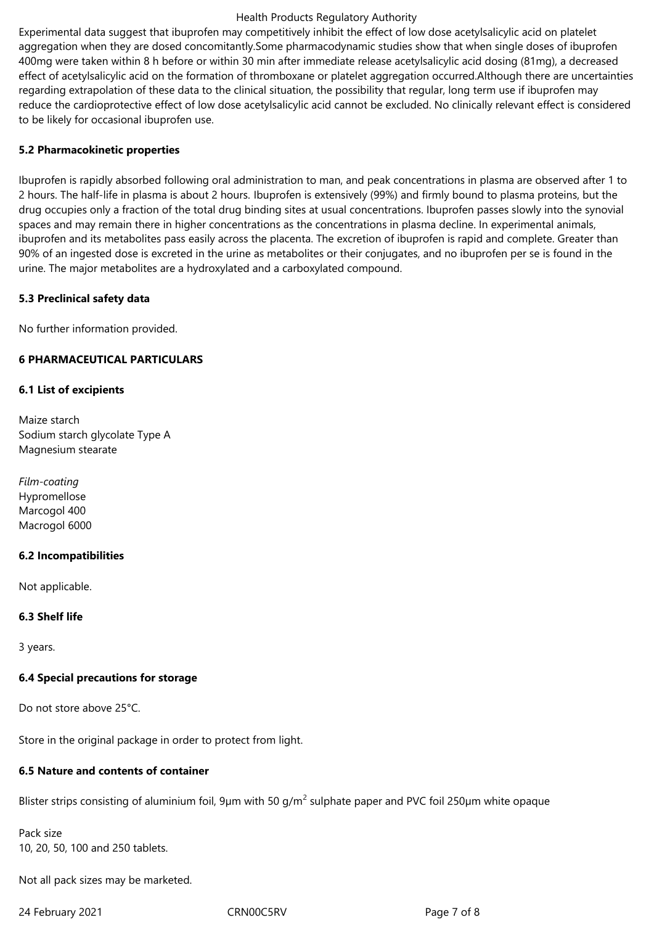#### Health Products Regulatory Authority

Experimental data suggest that ibuprofen may competitively inhibit the effect of low dose acetylsalicylic acid on platelet aggregation when they are dosed concomitantly.Some pharmacodynamic studies show that when single doses of ibuprofen 400mg were taken within 8 h before or within 30 min after immediate release acetylsalicylic acid dosing (81mg), a decreased effect of acetylsalicylic acid on the formation of thromboxane or platelet aggregation occurred.Although there are uncertainties regarding extrapolation of these data to the clinical situation, the possibility that regular, long term use if ibuprofen may reduce the cardioprotective effect of low dose acetylsalicylic acid cannot be excluded. No clinically relevant effect is considered to be likely for occasional ibuprofen use.

# **5.2 Pharmacokinetic properties**

Ibuprofen is rapidly absorbed following oral administration to man, and peak concentrations in plasma are observed after 1 to 2 hours. The half-life in plasma is about 2 hours. Ibuprofen is extensively (99%) and firmly bound to plasma proteins, but the drug occupies only a fraction of the total drug binding sites at usual concentrations. Ibuprofen passes slowly into the synovial spaces and may remain there in higher concentrations as the concentrations in plasma decline. In experimental animals, ibuprofen and its metabolites pass easily across the placenta. The excretion of ibuprofen is rapid and complete. Greater than 90% of an ingested dose is excreted in the urine as metabolites or their conjugates, and no ibuprofen per se is found in the urine. The major metabolites are a hydroxylated and a carboxylated compound.

# **5.3 Preclinical safety data**

No further information provided.

# **6 PHARMACEUTICAL PARTICULARS**

# **6.1 List of excipients**

Maize starch Sodium starch glycolate Type A Magnesium stearate

*Film-coating* Hypromellose Marcogol 400 Macrogol 6000

## **6.2 Incompatibilities**

Not applicable.

## **6.3 Shelf life**

3 years.

# **6.4 Special precautions for storage**

Do not store above 25°C.

Store in the original package in order to protect from light.

# **6.5 Nature and contents of container**

Blister strips consisting of aluminium foil, 9µm with 50 g/m<sup>2</sup> sulphate paper and PVC foil 250µm white opaque

Pack size 10, 20, 50, 100 and 250 tablets.

Not all pack sizes may be marketed.

24 February 2021 CRN00C5RV Page 7 of 8